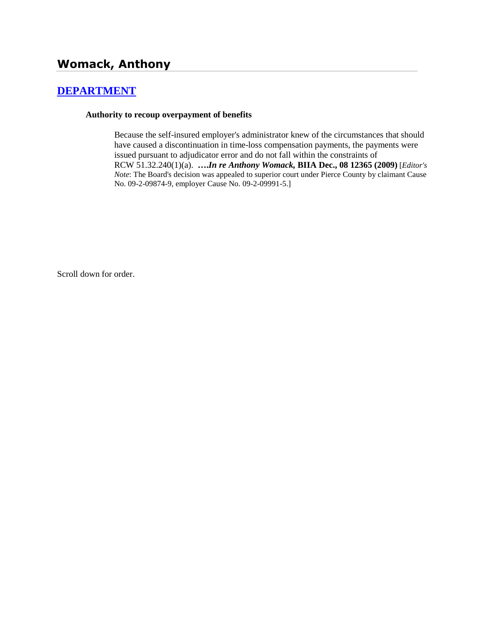# **[DEPARTMENT](http://www.biia.wa.gov/SDSubjectIndex.html#DEPARTMENT)**

### **Authority to recoup overpayment of benefits**

Because the self-insured employer's administrator knew of the circumstances that should have caused a discontinuation in time-loss compensation payments, the payments were issued pursuant to adjudicator error and do not fall within the constraints of RCW 51.32.240(1)(a). **….***In re Anthony Womack,* **BIIA Dec., 08 12365 (2009)** [*Editor's Note*: The Board's decision was appealed to superior court under Pierce County by claimant Cause No. 09-2-09874-9, employer Cause No. 09-2-09991-5.]

Scroll down for order.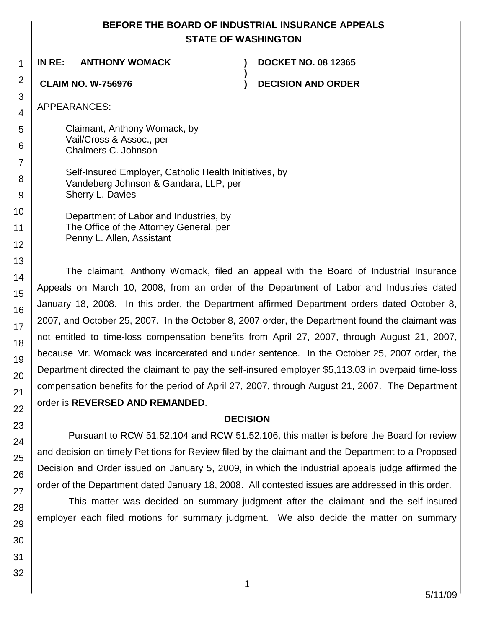## **BEFORE THE BOARD OF INDUSTRIAL INSURANCE APPEALS STATE OF WASHINGTON**

**)**

**IN RE: ANTHONY WOMACK ) DOCKET NO. 08 12365**

**CLAIM NO. W-756976 ) DECISION AND ORDER**

APPEARANCES:

Claimant, Anthony Womack, by Vail/Cross & Assoc., per Chalmers C. Johnson

Self-Insured Employer, Catholic Health Initiatives, by Vandeberg Johnson & Gandara, LLP, per Sherry L. Davies

Department of Labor and Industries, by The Office of the Attorney General, per Penny L. Allen, Assistant

The claimant, Anthony Womack, filed an appeal with the Board of Industrial Insurance Appeals on March 10, 2008, from an order of the Department of Labor and Industries dated January 18, 2008. In this order, the Department affirmed Department orders dated October 8, 2007, and October 25, 2007. In the October 8, 2007 order, the Department found the claimant was not entitled to time-loss compensation benefits from April 27, 2007, through August 21, 2007, because Mr. Womack was incarcerated and under sentence. In the October 25, 2007 order, the Department directed the claimant to pay the self-insured employer \$5,113.03 in overpaid time-loss compensation benefits for the period of April 27, 2007, through August 21, 2007. The Department order is **REVERSED AND REMANDED**.

## **DECISION**

Pursuant to RCW 51.52.104 and RCW 51.52.106, this matter is before the Board for review and decision on timely Petitions for Review filed by the claimant and the Department to a Proposed Decision and Order issued on January 5, 2009, in which the industrial appeals judge affirmed the order of the Department dated January 18, 2008. All contested issues are addressed in this order.

This matter was decided on summary judgment after the claimant and the self-insured employer each filed motions for summary judgment. We also decide the matter on summary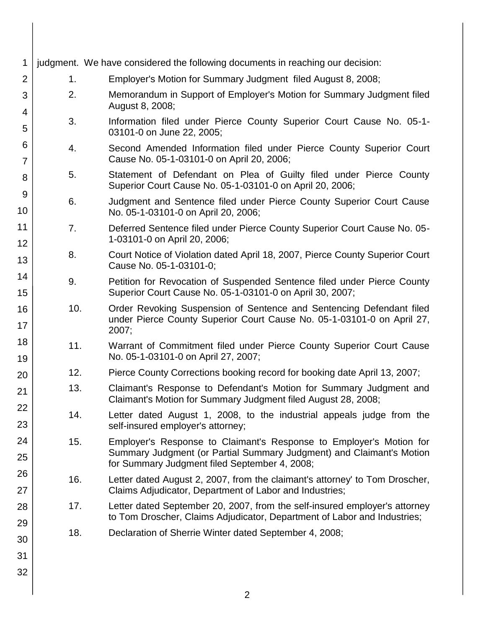| 1                                                      |                                                                                                               | judgment. We have considered the following documents in reaching our decision:                                                                                                               |  |  |
|--------------------------------------------------------|---------------------------------------------------------------------------------------------------------------|----------------------------------------------------------------------------------------------------------------------------------------------------------------------------------------------|--|--|
| $\overline{2}$                                         | 1.                                                                                                            | Employer's Motion for Summary Judgment filed August 8, 2008;                                                                                                                                 |  |  |
| 3<br>4                                                 | 2.<br>Memorandum in Support of Employer's Motion for Summary Judgment filed<br>August 8, 2008;                |                                                                                                                                                                                              |  |  |
| 5                                                      | 3.                                                                                                            | Information filed under Pierce County Superior Court Cause No. 05-1-<br>03101-0 on June 22, 2005;                                                                                            |  |  |
| 6<br>7                                                 | 4.                                                                                                            | Second Amended Information filed under Pierce County Superior Court<br>Cause No. 05-1-03101-0 on April 20, 2006;                                                                             |  |  |
| 8                                                      | 5.                                                                                                            | Statement of Defendant on Plea of Guilty filed under Pierce County<br>Superior Court Cause No. 05-1-03101-0 on April 20, 2006;                                                               |  |  |
| 9<br>6.<br>10<br>No. 05-1-03101-0 on April 20, 2006;   |                                                                                                               | Judgment and Sentence filed under Pierce County Superior Court Cause                                                                                                                         |  |  |
| 11<br>12                                               | 7.                                                                                                            | Deferred Sentence filed under Pierce County Superior Court Cause No. 05-<br>1-03101-0 on April 20, 2006;                                                                                     |  |  |
| 13                                                     | Court Notice of Violation dated April 18, 2007, Pierce County Superior Court<br>8.<br>Cause No. 05-1-03101-0; |                                                                                                                                                                                              |  |  |
| 14<br>15                                               | 9.                                                                                                            | Petition for Revocation of Suspended Sentence filed under Pierce County<br>Superior Court Cause No. 05-1-03101-0 on April 30, 2007;                                                          |  |  |
| 16<br>17                                               | 10.                                                                                                           | Order Revoking Suspension of Sentence and Sentencing Defendant filed<br>under Pierce County Superior Court Cause No. 05-1-03101-0 on April 27,<br>2007;                                      |  |  |
| 18<br>11.<br>No. 05-1-03101-0 on April 27, 2007;<br>19 |                                                                                                               | Warrant of Commitment filed under Pierce County Superior Court Cause                                                                                                                         |  |  |
| 20                                                     | 12.                                                                                                           | Pierce County Corrections booking record for booking date April 13, 2007;                                                                                                                    |  |  |
| 13.<br>21                                              |                                                                                                               | Claimant's Response to Defendant's Motion for Summary Judgment and<br>Claimant's Motion for Summary Judgment filed August 28, 2008;                                                          |  |  |
| 22<br>23                                               | 14.                                                                                                           | Letter dated August 1, 2008, to the industrial appeals judge from the<br>self-insured employer's attorney;                                                                                   |  |  |
| 24<br>25                                               | 15.                                                                                                           | Employer's Response to Claimant's Response to Employer's Motion for<br>Summary Judgment (or Partial Summary Judgment) and Claimant's Motion<br>for Summary Judgment filed September 4, 2008; |  |  |
| 26<br>27                                               | 16.                                                                                                           | Letter dated August 2, 2007, from the claimant's attorney' to Tom Droscher,<br>Claims Adjudicator, Department of Labor and Industries;                                                       |  |  |
| 28                                                     | 17.                                                                                                           | Letter dated September 20, 2007, from the self-insured employer's attorney<br>to Tom Droscher, Claims Adjudicator, Department of Labor and Industries;                                       |  |  |
| 29<br>30                                               | 18.                                                                                                           | Declaration of Sherrie Winter dated September 4, 2008;                                                                                                                                       |  |  |
| 31                                                     |                                                                                                               |                                                                                                                                                                                              |  |  |
| 32                                                     |                                                                                                               |                                                                                                                                                                                              |  |  |
|                                                        |                                                                                                               | $\overline{2}$                                                                                                                                                                               |  |  |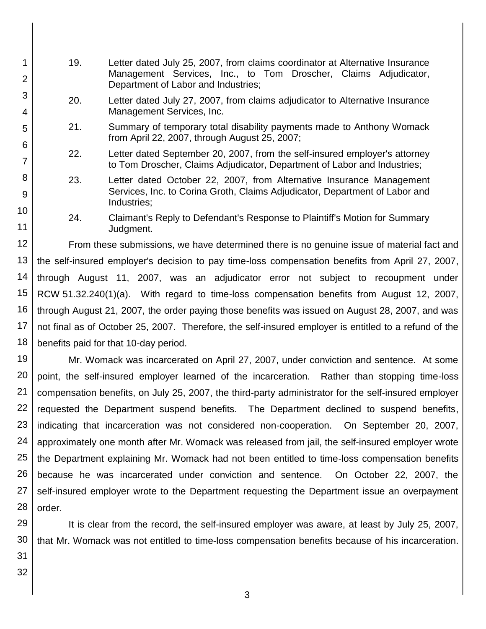- 19. Letter dated July 25, 2007, from claims coordinator at Alternative Insurance Management Services, Inc., to Tom Droscher, Claims Adjudicator, Department of Labor and Industries;
	- 20. Letter dated July 27, 2007, from claims adjudicator to Alternative Insurance Management Services, Inc.
	- 21. Summary of temporary total disability payments made to Anthony Womack from April 22, 2007, through August 25, 2007;
	- 22. Letter dated September 20, 2007, from the self-insured employer's attorney to Tom Droscher, Claims Adjudicator, Department of Labor and Industries;
	- 23. Letter dated October 22, 2007, from Alternative Insurance Management Services, Inc. to Corina Groth, Claims Adjudicator, Department of Labor and Industries;
	- 24. Claimant's Reply to Defendant's Response to Plaintiff's Motion for Summary Judgment.

12 13 14 15 16 17 18 From these submissions, we have determined there is no genuine issue of material fact and the self-insured employer's decision to pay time-loss compensation benefits from April 27, 2007, through August 11, 2007, was an adjudicator error not subject to recoupment under RCW 51.32.240(1)(a). With regard to time-loss compensation benefits from August 12, 2007, through August 21, 2007, the order paying those benefits was issued on August 28, 2007, and was not final as of October 25, 2007. Therefore, the self-insured employer is entitled to a refund of the benefits paid for that 10-day period.

19 20 21 22 23 24 25 26 27 28 Mr. Womack was incarcerated on April 27, 2007, under conviction and sentence. At some point, the self-insured employer learned of the incarceration. Rather than stopping time-loss compensation benefits, on July 25, 2007, the third-party administrator for the self-insured employer requested the Department suspend benefits. The Department declined to suspend benefits, indicating that incarceration was not considered non-cooperation. On September 20, 2007, approximately one month after Mr. Womack was released from jail, the self-insured employer wrote the Department explaining Mr. Womack had not been entitled to time-loss compensation benefits because he was incarcerated under conviction and sentence. On October 22, 2007, the self-insured employer wrote to the Department requesting the Department issue an overpayment order.

29 30 It is clear from the record, the self-insured employer was aware, at least by July 25, 2007, that Mr. Womack was not entitled to time-loss compensation benefits because of his incarceration.

31 32

1

2

3

4

5

6

7

8

9

10

11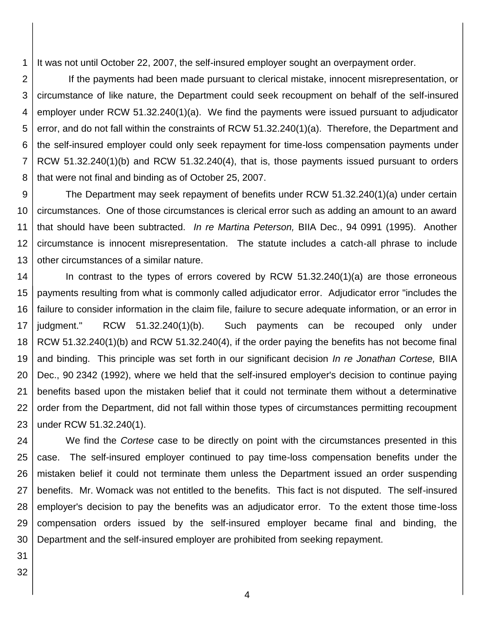1 It was not until October 22, 2007, the self-insured employer sought an overpayment order.

2 3 4 5 6 7 8 If the payments had been made pursuant to clerical mistake, innocent misrepresentation, or circumstance of like nature, the Department could seek recoupment on behalf of the self-insured employer under RCW 51.32.240(1)(a). We find the payments were issued pursuant to adjudicator error, and do not fall within the constraints of RCW 51.32.240(1)(a). Therefore, the Department and the self-insured employer could only seek repayment for time-loss compensation payments under RCW 51.32.240(1)(b) and RCW 51.32.240(4), that is, those payments issued pursuant to orders that were not final and binding as of October 25, 2007.

9 10 11 12 13 The Department may seek repayment of benefits under RCW 51.32.240(1)(a) under certain circumstances. One of those circumstances is clerical error such as adding an amount to an award that should have been subtracted. *In re Martina Peterson,* BIIA Dec., 94 0991 (1995). Another circumstance is innocent misrepresentation. The statute includes a catch-all phrase to include other circumstances of a similar nature.

14 15 16 17 18 19 20 21 22 23 In contrast to the types of errors covered by RCW 51.32.240(1)(a) are those erroneous payments resulting from what is commonly called adjudicator error. Adjudicator error "includes the failure to consider information in the claim file, failure to secure adequate information, or an error in judgment." RCW 51.32.240(1)(b). Such payments can be recouped only under RCW 51.32.240(1)(b) and RCW 51.32.240(4), if the order paying the benefits has not become final and binding. This principle was set forth in our significant decision *In re Jonathan Cortese,* BIIA Dec., 90 2342 (1992), where we held that the self-insured employer's decision to continue paying benefits based upon the mistaken belief that it could not terminate them without a determinative order from the Department, did not fall within those types of circumstances permitting recoupment under RCW 51.32.240(1).

24 25 26 27 28 29 30 We find the *Cortese* case to be directly on point with the circumstances presented in this case. The self-insured employer continued to pay time-loss compensation benefits under the mistaken belief it could not terminate them unless the Department issued an order suspending benefits. Mr. Womack was not entitled to the benefits. This fact is not disputed. The self-insured employer's decision to pay the benefits was an adjudicator error. To the extent those time-loss compensation orders issued by the self-insured employer became final and binding, the Department and the self-insured employer are prohibited from seeking repayment.

31 32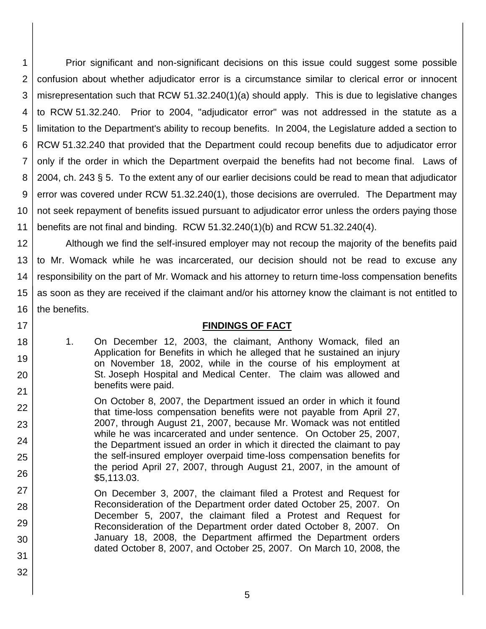1 2 3 4 5 6 7 8 9 10 11 Prior significant and non-significant decisions on this issue could suggest some possible confusion about whether adjudicator error is a circumstance similar to clerical error or innocent misrepresentation such that RCW 51.32.240(1)(a) should apply. This is due to legislative changes to RCW 51.32.240. Prior to 2004, "adjudicator error" was not addressed in the statute as a limitation to the Department's ability to recoup benefits. In 2004, the Legislature added a section to RCW 51.32.240 that provided that the Department could recoup benefits due to adjudicator error only if the order in which the Department overpaid the benefits had not become final. Laws of 2004, ch. 243 § 5. To the extent any of our earlier decisions could be read to mean that adjudicator error was covered under RCW 51.32.240(1), those decisions are overruled. The Department may not seek repayment of benefits issued pursuant to adjudicator error unless the orders paying those benefits are not final and binding. RCW 51.32.240(1)(b) and RCW 51.32.240(4).

12 13 14 15 16 Although we find the self-insured employer may not recoup the majority of the benefits paid to Mr. Womack while he was incarcerated, our decision should not be read to excuse any responsibility on the part of Mr. Womack and his attorney to return time-loss compensation benefits as soon as they are received if the claimant and/or his attorney know the claimant is not entitled to the benefits.

17

18

19

20

21

22

23

24

25

26

## **FINDINGS OF FACT**

1. On December 12, 2003, the claimant, Anthony Womack, filed an Application for Benefits in which he alleged that he sustained an injury on November 18, 2002, while in the course of his employment at St. Joseph Hospital and Medical Center. The claim was allowed and benefits were paid.

On October 8, 2007, the Department issued an order in which it found that time-loss compensation benefits were not payable from April 27, 2007, through August 21, 2007, because Mr. Womack was not entitled while he was incarcerated and under sentence. On October 25, 2007, the Department issued an order in which it directed the claimant to pay the self-insured employer overpaid time-loss compensation benefits for the period April 27, 2007, through August 21, 2007, in the amount of \$5,113.03.

- 27 28 29 30 31 On December 3, 2007, the claimant filed a Protest and Request for Reconsideration of the Department order dated October 25, 2007. On December 5, 2007, the claimant filed a Protest and Request for Reconsideration of the Department order dated October 8, 2007. On January 18, 2008, the Department affirmed the Department orders dated October 8, 2007, and October 25, 2007. On March 10, 2008, the
- 32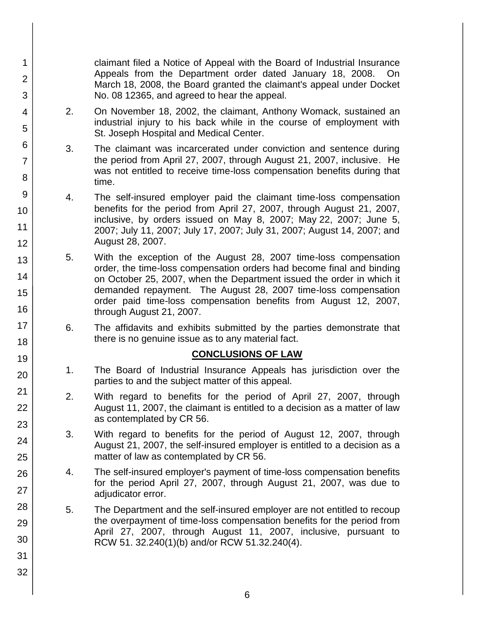claimant filed a Notice of Appeal with the Board of Industrial Insurance Appeals from the Department order dated January 18, 2008. On March 18, 2008, the Board granted the claimant's appeal under Docket No. 08 12365, and agreed to hear the appeal.

- 2. On November 18, 2002, the claimant, Anthony Womack, sustained an industrial injury to his back while in the course of employment with St. Joseph Hospital and Medical Center.
- 3. The claimant was incarcerated under conviction and sentence during the period from April 27, 2007, through August 21, 2007, inclusive. He was not entitled to receive time-loss compensation benefits during that time.
- 4. The self-insured employer paid the claimant time-loss compensation benefits for the period from April 27, 2007, through August 21, 2007, inclusive, by orders issued on May 8, 2007; May 22, 2007; June 5, 2007; July 11, 2007; July 17, 2007; July 31, 2007; August 14, 2007; and August 28, 2007.
- 5. With the exception of the August 28, 2007 time-loss compensation order, the time-loss compensation orders had become final and binding on October 25, 2007, when the Department issued the order in which it demanded repayment. The August 28, 2007 time-loss compensation order paid time-loss compensation benefits from August 12, 2007, through August 21, 2007.
	- 6. The affidavits and exhibits submitted by the parties demonstrate that there is no genuine issue as to any material fact.

## **CONCLUSIONS OF LAW**

- 1. The Board of Industrial Insurance Appeals has jurisdiction over the parties to and the subject matter of this appeal.
- 2. With regard to benefits for the period of April 27, 2007, through August 11, 2007, the claimant is entitled to a decision as a matter of law as contemplated by CR 56.
- 3. With regard to benefits for the period of August 12, 2007, through August 21, 2007, the self-insured employer is entitled to a decision as a matter of law as contemplated by CR 56.
- 4. The self-insured employer's payment of time-loss compensation benefits for the period April 27, 2007, through August 21, 2007, was due to adjudicator error.
- 5. The Department and the self-insured employer are not entitled to recoup the overpayment of time-loss compensation benefits for the period from April 27, 2007, through August 11, 2007, inclusive, pursuant to RCW 51. 32.240(1)(b) and/or RCW 51.32.240(4).
- 4 5 6 7 8 9 10 11 12 13 14 15 16 17 18 19 20 21 22 23 24 25 26 27 28 29 30 31 32

1

2